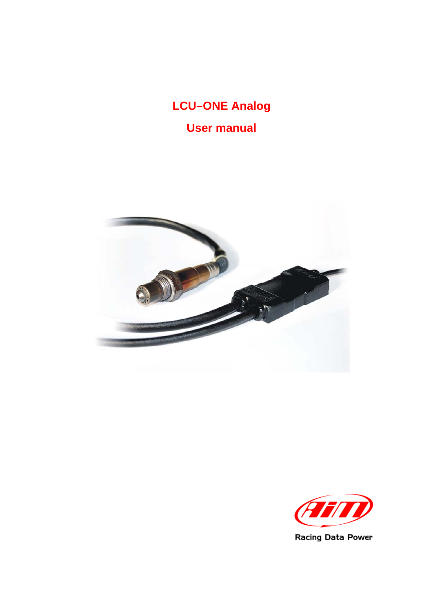# **LCU–ONE Analog User manual**



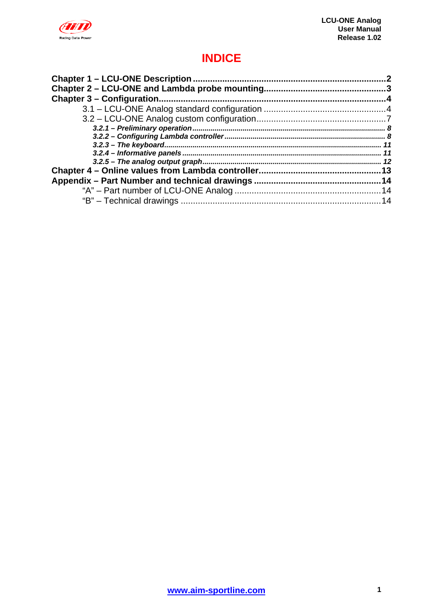

### **INDICE**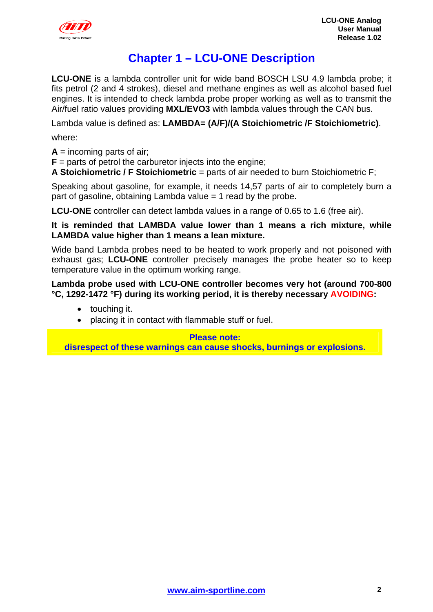<span id="page-2-0"></span>

### <sup>0</sup>**Chapter 1 – LCU-ONE Description**

**LCU-ONE** is a lambda controller unit for wide band BOSCH LSU 4.9 lambda probe; it fits petrol (2 and 4 strokes), diesel and methane engines as well as alcohol based fuel engines. It is intended to check lambda probe proper working as well as to transmit the Air/fuel ratio values providing **MXL/EVO3** with lambda values through the CAN bus.

Lambda value is defined as: **LAMBDA= (A/F)/(A Stoichiometric /F Stoichiometric)**.

where:

 $A =$  incoming parts of air;

 **= parts of petrol the carburetor injects into the engine;** 

**A Stoichiometric / F Stoichiometric** = parts of air needed to burn Stoichiometric F;

Speaking about gasoline, for example, it needs 14,57 parts of air to completely burn a part of gasoline, obtaining Lambda value  $= 1$  read by the probe.

**LCU-ONE** controller can detect lambda values in a range of 0.65 to 1.6 (free air).

**It is reminded that LAMBDA value lower than 1 means a rich mixture, while LAMBDA value higher than 1 means a lean mixture.** 

Wide band Lambda probes need to be heated to work properly and not poisoned with exhaust gas; **LCU-ONE** controller precisely manages the probe heater so to keep temperature value in the optimum working range.

**Lambda probe used with LCU-ONE controller becomes very hot (around 700-800 °C, 1292-1472 °F) during its working period, it is thereby necessary AVOIDING:** 

- touching it.
- placing it in contact with flammable stuff or fuel.

**Please note: disrespect of these warnings can cause shocks, burnings or explosions.**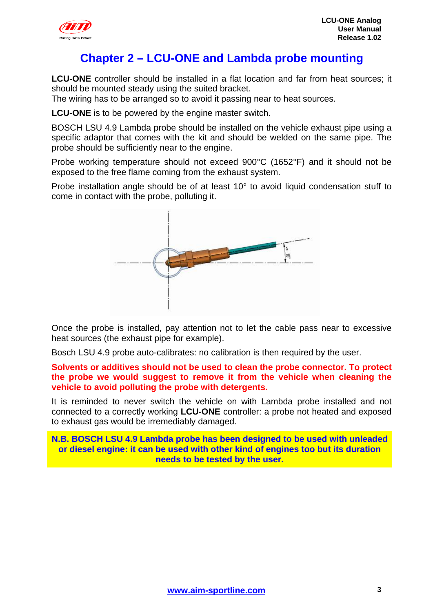<span id="page-3-0"></span>

### <sup>1</sup>**Chapter 2 – LCU-ONE and Lambda probe mounting**

**LCU-ONE** controller should be installed in a flat location and far from heat sources; it should be mounted steady using the suited bracket.

The wiring has to be arranged so to avoid it passing near to heat sources.

**LCU-ONE** is to be powered by the engine master switch.

BOSCH LSU 4.9 Lambda probe should be installed on the vehicle exhaust pipe using a specific adaptor that comes with the kit and should be welded on the same pipe. The probe should be sufficiently near to the engine.

Probe working temperature should not exceed 900°C (1652°F) and it should not be exposed to the free flame coming from the exhaust system.

Probe installation angle should be of at least 10° to avoid liquid condensation stuff to come in contact with the probe, polluting it.



Once the probe is installed, pay attention not to let the cable pass near to excessive heat sources (the exhaust pipe for example).

Bosch LSU 4.9 probe auto-calibrates: no calibration is then required by the user.

**Solvents or additives should not be used to clean the probe connector. To protect the probe we would suggest to remove it from the vehicle when cleaning the vehicle to avoid polluting the probe with detergents.** 

It is reminded to never switch the vehicle on with Lambda probe installed and not connected to a correctly working **LCU-ONE** controller: a probe not heated and exposed to exhaust gas would be irremediably damaged.

**N.B. BOSCH LSU 4.9 Lambda probe has been designed to be used with unleaded or diesel engine: it can be used with other kind of engines too but its duration needs to be tested by the user.**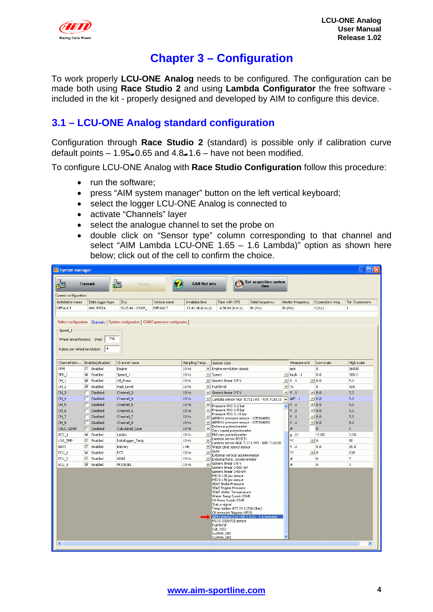<span id="page-4-0"></span>

### <sup>2</sup>**Chapter 3 – Configuration**

To work properly **LCU-ONE Analog** needs to be configured. The configuration can be made both using **Race Studio 2** and using **Lambda Configurator** the free software included in the kit - properly designed and developed by AIM to configure this device.

### <sup>5</sup>**3.1 – LCU-ONE Analog standard configuration**

Configuration through **Race Studio 2** (standard) is possible only if calibration curve default points  $-1.95-0.65$  and  $4.8-1.6$  – have not been modified.

To configure LCU-ONE Analog with **Race Studio Configuration** follow this procedure:

- run the software:
- press "AIM system manager" button on the left vertical keyboard;
- select the logger LCU-ONE Analog is connected to
- activate "Channels" layer
- select the analogue channel to set the probe on
- double click on "Sensor type" column corresponding to that channel and select "AIM Lambda LCU-ONE 1.65 – 1.6 Lambda)" option as shown here below; click out of the cell to confirm the choice.

| System manager<br>□                                                                                                      |                              |                                                                                     |              |                                 |                                                              |                        |                          |                        |                    |                 |
|--------------------------------------------------------------------------------------------------------------------------|------------------------------|-------------------------------------------------------------------------------------|--------------|---------------------------------|--------------------------------------------------------------|------------------------|--------------------------|------------------------|--------------------|-----------------|
| ł<br><b>Set acquisition system</b><br>m<br><b>CAN-Net info</b><br><b>Transmit</b><br>₫ <mark>⊒</mark><br>Receive<br>time |                              |                                                                                     |              |                                 |                                                              |                        |                          |                        |                    |                 |
| Current configuration                                                                                                    |                              |                                                                                     |              |                                 |                                                              |                        |                          |                        |                    |                 |
| Installation name                                                                                                        | Data logger type             | Ecu                                                                                 | Vehicle name | Available time                  | Time with GPS                                                | <b>Total frequency</b> |                          | Master frequency       | Expansions freq    | Tot. Expansions |
| DEFAULT                                                                                                                  | MXL PISTA                    | SUZUKI - GSXR<br>u.                                                                 | DEFAULT      | 12.41.26 (h.m.s)                | 4.36.03 (h.m.s)                                              | 91 (Hz)                | 91 (Hz)                  |                        | $0$ (Hz)           | $\mathbf{1}$    |
|                                                                                                                          |                              |                                                                                     |              |                                 |                                                              |                        |                          |                        |                    |                 |
|                                                                                                                          |                              | Select configuration  Channels   System configuration   CAN-Expansions configurator |              |                                 |                                                              |                        |                          |                        |                    |                 |
| Speed_1                                                                                                                  |                              |                                                                                     |              |                                 |                                                              |                        |                          |                        |                    |                 |
|                                                                                                                          |                              |                                                                                     |              |                                 |                                                              |                        |                          |                        |                    |                 |
| Wheel circumference (mm)                                                                                                 |                              | 736                                                                                 |              |                                 |                                                              |                        |                          |                        |                    |                 |
| Pulses per wheel revolution                                                                                              | 4                            |                                                                                     |              |                                 |                                                              |                        |                          |                        |                    |                 |
|                                                                                                                          |                              |                                                                                     |              |                                 |                                                              |                        |                          |                        |                    |                 |
| Channel iden                                                                                                             | Enabled/disabled             | Channel name                                                                        |              | Sampling frequ Sensor type      |                                                              |                        |                          | Measure unit           | Low scale          | High scale      |
| RPM                                                                                                                      | $\nabla$ Enabled             | Engine                                                                              |              | 10 Hz                           | Engine revolution speed                                      |                        |                          | rpm                    | $\mathbf{0}$       | 16000           |
| $SPD_1$                                                                                                                  | Enabled<br>⊽                 | Speed_1                                                                             |              | 10 Hz                           | $\mathbf{I}$ Speed                                           |                        |                          | $\blacksquare$ km/h .1 | 0.0                | 300.0           |
| CH <sub>1</sub>                                                                                                          | $\nabla$ Enabled             | Oil_Press                                                                           |              | 10 Hz                           | Generic linear 0-5 V                                         |                        |                          | $\mathbf{V}$ V .1      | $\blacksquare$ 0.0 | 5.0             |
| CH_2                                                                                                                     | ⊽<br>Enabled                 | Fuel_Level                                                                          |              | 10 Hz                           | Fuel level                                                   |                        |                          | $-$ %                  | $\mathbf{0}$       | 100             |
| CH <sub>3</sub>                                                                                                          | Disabled<br>г                | Channel 3                                                                           |              | 10 Hz                           | Generic linear 0-5 V                                         |                        |                          | $\mathbf{V}$ .1        | $-10.0$            | 5.0             |
| CH_4                                                                                                                     | Disabled<br>г                | Channel 4                                                                           |              | 10 Hz                           | Lambda sensor NGK TL7111W1 - NTK TC6110                      |                        | $\overline{\phantom{a}}$ | A/F.1                  | $-0.0$             | 5.0             |
| CH <sub>5</sub>                                                                                                          | Disabled<br>г                | Channel 5                                                                           |              | 10 Hz                           | Pressure VDO 0-2 bar                                         |                        | $\triangleright$         | V.1                    | $-10.0$            | 5.0             |
| CH_6                                                                                                                     | Disabled<br>г                | Channel_6                                                                           |              | 10 Hz                           | -   Pressure VDO 0-5 bar                                     |                        |                          | V.1                    | $\bullet$ 0.0      | 5.0             |
| CH_7                                                                                                                     | г<br>Disabled                | Channel_7                                                                           |              | 10 Hz                           | Pressure VDO 0-10 bar<br>AIRBOX pressure sensor - X055NAB01  |                        |                          | V.1                    | $\vert$ 0.0        | 5.0             |
| CH_8                                                                                                                     | Disabled                     | Channel_8                                                                           |              | 10 Hz                           | - AIRBOX pressure sensor - X055NAB00                         |                        |                          | V.1                    | $\bullet$ 0.0      | 5.0             |
| CALC GEAR                                                                                                                | Disabled<br>г                | Calculated Gear                                                                     |              | $\blacktriangledown$<br>$10$ Hz | Distance potentiometer<br>Zero based potentiometer           |                        |                          | #                      | $\overline{0}$     | 9               |
| $ACC_1$                                                                                                                  | $\nabla$ Enabled             | LatAcc                                                                              |              | 10 Hz                           | Mid zero potentiometer<br>Lambda sensor BOSCH                |                        |                          | $q$ .01                | $-3.00$            | 3,00            |
| LOG_TMP                                                                                                                  | Enabled<br>$\overline{\vee}$ | Datalogger_Temp                                                                     |              | $\blacksquare$<br>10 Hz         | Lambda sensor NGK TL7111W1 - NTK TC6110                      |                        |                          | ۰Ċ                     | $\mathbf{v}$ 0     | 50              |
| BATT                                                                                                                     | $\overline{\vee}$<br>Enabled | Battery                                                                             |              | 1 Hz                            | ▼ Water pitot speed sensor                                   |                        |                          | $V$ .1                 | 5.0                | 15.0            |
| $ECU_1$                                                                                                                  | ⊽<br>Enabled                 | ECT                                                                                 |              | 10 Hz                           | $\sqrt{\frac{1}{2}}$ Gyro<br>External vertical accelerometer |                        |                          | ۰C                     | $\blacksquare$ 0   | 130             |
| ECU <sub>2</sub>                                                                                                         | Enabled<br>$\overline{\vee}$ | <b>GEAR</b>                                                                         |              | 10 Hz<br>≛                      | External horiz, accelerometer<br>Generic linear 0-5 V        |                        |                          | #                      | 0                  | 7               |
| ECU 9                                                                                                                    | U<br>Enabled                 | MODESEL                                                                             |              | $\vert \cdot \vert$<br>10 Hz    | Generic linear 0-500 mV                                      |                        |                          | #                      | $\mathbf{0}$       | 3               |
|                                                                                                                          |                              |                                                                                     |              |                                 | Generic linear 0-50 mV<br>MSI 0-100 psi sensor               |                        |                          |                        |                    |                 |
|                                                                                                                          |                              |                                                                                     |              |                                 | MSI 0-150 psi sensor                                         |                        |                          |                        |                    |                 |
|                                                                                                                          |                              |                                                                                     |              |                                 | SEAT Brake Pressure                                          |                        |                          |                        |                    |                 |
|                                                                                                                          |                              |                                                                                     |              |                                 | SEAT Engine Pressure<br>SEAT Water Temperature               |                        |                          |                        |                    |                 |
|                                                                                                                          |                              |                                                                                     |              |                                 | Water Temp Suzuki GSXR<br>Oil Press Suzuki GSXR              |                        |                          |                        |                    |                 |
|                                                                                                                          |                              |                                                                                     |              |                                 | Status signal                                                |                        |                          |                        |                    |                 |
|                                                                                                                          |                              |                                                                                     |              |                                 | Temp Weber ATS 04 (1200 Ohm)<br>Oil pressure Nagano KM10     |                        |                          |                        |                    |                 |
|                                                                                                                          |                              |                                                                                     |              |                                 | AIM Lambda LCU-ONE (0,65 - 1,6 lambda)                       |                        |                          |                        |                    |                 |
|                                                                                                                          |                              |                                                                                     |              |                                 | MSI 0-2000 PSI sensor<br>Fuel level                          |                        |                          |                        |                    |                 |
|                                                                                                                          |                              |                                                                                     |              |                                 | Sub_H2O                                                      |                        |                          |                        |                    |                 |
|                                                                                                                          |                              |                                                                                     |              |                                 | Custom_001<br>Custom_002                                     |                        |                          |                        |                    |                 |
| ∢                                                                                                                        |                              |                                                                                     |              |                                 |                                                              |                        |                          |                        |                    | $\rightarrow$   |
|                                                                                                                          |                              |                                                                                     |              |                                 |                                                              |                        |                          |                        |                    |                 |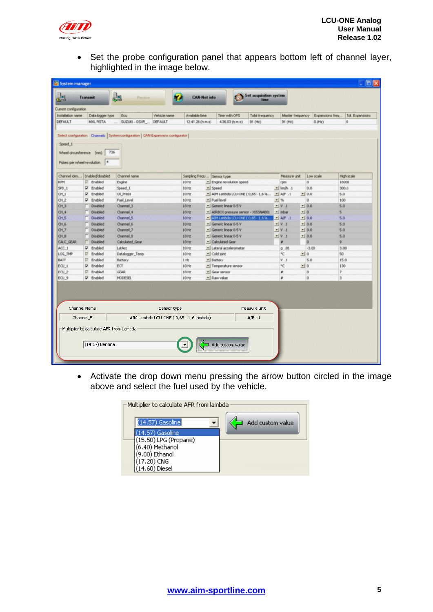

• Set the probe configuration panel that appears bottom left of channel layer, highlighted in the image below.

| Ecu<br>Vehicle name<br>SUZUNI - OSXR<br><b>DEFAULT</b> | Available time<br>12.41.26 (h.m.s)                                                                                                                                                                                                                              | Time with GPS<br><b>Total frequency</b><br>4.36.03 (h.m.s)<br>91 (Hz)                                                                                            | Master frequency<br>91 (Hz)                                                                                                                                                                                                                                                                                                                                                                                                                      | Expansions freq.<br>$0$ (Hz)                                                                                                                                                             | Tot. Expansions<br>o                                                                                                                                                                                                                                                                               |
|--------------------------------------------------------|-----------------------------------------------------------------------------------------------------------------------------------------------------------------------------------------------------------------------------------------------------------------|------------------------------------------------------------------------------------------------------------------------------------------------------------------|--------------------------------------------------------------------------------------------------------------------------------------------------------------------------------------------------------------------------------------------------------------------------------------------------------------------------------------------------------------------------------------------------------------------------------------------------|------------------------------------------------------------------------------------------------------------------------------------------------------------------------------------------|----------------------------------------------------------------------------------------------------------------------------------------------------------------------------------------------------------------------------------------------------------------------------------------------------|
|                                                        |                                                                                                                                                                                                                                                                 |                                                                                                                                                                  |                                                                                                                                                                                                                                                                                                                                                                                                                                                  |                                                                                                                                                                                          |                                                                                                                                                                                                                                                                                                    |
|                                                        |                                                                                                                                                                                                                                                                 |                                                                                                                                                                  |                                                                                                                                                                                                                                                                                                                                                                                                                                                  |                                                                                                                                                                                          |                                                                                                                                                                                                                                                                                                    |
|                                                        |                                                                                                                                                                                                                                                                 |                                                                                                                                                                  |                                                                                                                                                                                                                                                                                                                                                                                                                                                  |                                                                                                                                                                                          |                                                                                                                                                                                                                                                                                                    |
|                                                        |                                                                                                                                                                                                                                                                 |                                                                                                                                                                  |                                                                                                                                                                                                                                                                                                                                                                                                                                                  |                                                                                                                                                                                          |                                                                                                                                                                                                                                                                                                    |
|                                                        |                                                                                                                                                                                                                                                                 |                                                                                                                                                                  |                                                                                                                                                                                                                                                                                                                                                                                                                                                  |                                                                                                                                                                                          | High scale                                                                                                                                                                                                                                                                                         |
|                                                        |                                                                                                                                                                                                                                                                 |                                                                                                                                                                  |                                                                                                                                                                                                                                                                                                                                                                                                                                                  |                                                                                                                                                                                          | 16000                                                                                                                                                                                                                                                                                              |
|                                                        |                                                                                                                                                                                                                                                                 |                                                                                                                                                                  |                                                                                                                                                                                                                                                                                                                                                                                                                                                  |                                                                                                                                                                                          | 300.0                                                                                                                                                                                                                                                                                              |
|                                                        |                                                                                                                                                                                                                                                                 |                                                                                                                                                                  |                                                                                                                                                                                                                                                                                                                                                                                                                                                  |                                                                                                                                                                                          |                                                                                                                                                                                                                                                                                                    |
|                                                        |                                                                                                                                                                                                                                                                 |                                                                                                                                                                  |                                                                                                                                                                                                                                                                                                                                                                                                                                                  |                                                                                                                                                                                          |                                                                                                                                                                                                                                                                                                    |
|                                                        |                                                                                                                                                                                                                                                                 |                                                                                                                                                                  |                                                                                                                                                                                                                                                                                                                                                                                                                                                  |                                                                                                                                                                                          |                                                                                                                                                                                                                                                                                                    |
|                                                        |                                                                                                                                                                                                                                                                 |                                                                                                                                                                  |                                                                                                                                                                                                                                                                                                                                                                                                                                                  |                                                                                                                                                                                          |                                                                                                                                                                                                                                                                                                    |
|                                                        |                                                                                                                                                                                                                                                                 |                                                                                                                                                                  |                                                                                                                                                                                                                                                                                                                                                                                                                                                  |                                                                                                                                                                                          |                                                                                                                                                                                                                                                                                                    |
|                                                        |                                                                                                                                                                                                                                                                 |                                                                                                                                                                  |                                                                                                                                                                                                                                                                                                                                                                                                                                                  |                                                                                                                                                                                          |                                                                                                                                                                                                                                                                                                    |
|                                                        |                                                                                                                                                                                                                                                                 |                                                                                                                                                                  |                                                                                                                                                                                                                                                                                                                                                                                                                                                  |                                                                                                                                                                                          |                                                                                                                                                                                                                                                                                                    |
|                                                        |                                                                                                                                                                                                                                                                 |                                                                                                                                                                  |                                                                                                                                                                                                                                                                                                                                                                                                                                                  |                                                                                                                                                                                          |                                                                                                                                                                                                                                                                                                    |
|                                                        |                                                                                                                                                                                                                                                                 |                                                                                                                                                                  |                                                                                                                                                                                                                                                                                                                                                                                                                                                  |                                                                                                                                                                                          |                                                                                                                                                                                                                                                                                                    |
|                                                        |                                                                                                                                                                                                                                                                 |                                                                                                                                                                  |                                                                                                                                                                                                                                                                                                                                                                                                                                                  |                                                                                                                                                                                          |                                                                                                                                                                                                                                                                                                    |
|                                                        |                                                                                                                                                                                                                                                                 |                                                                                                                                                                  |                                                                                                                                                                                                                                                                                                                                                                                                                                                  |                                                                                                                                                                                          |                                                                                                                                                                                                                                                                                                    |
|                                                        |                                                                                                                                                                                                                                                                 |                                                                                                                                                                  |                                                                                                                                                                                                                                                                                                                                                                                                                                                  |                                                                                                                                                                                          |                                                                                                                                                                                                                                                                                                    |
|                                                        |                                                                                                                                                                                                                                                                 |                                                                                                                                                                  |                                                                                                                                                                                                                                                                                                                                                                                                                                                  |                                                                                                                                                                                          |                                                                                                                                                                                                                                                                                                    |
|                                                        |                                                                                                                                                                                                                                                                 |                                                                                                                                                                  |                                                                                                                                                                                                                                                                                                                                                                                                                                                  |                                                                                                                                                                                          |                                                                                                                                                                                                                                                                                                    |
|                                                        |                                                                                                                                                                                                                                                                 |                                                                                                                                                                  |                                                                                                                                                                                                                                                                                                                                                                                                                                                  |                                                                                                                                                                                          |                                                                                                                                                                                                                                                                                                    |
|                                                        | Channel name<br>Engine<br>Speed <sub>1</sub><br>Oil Press<br><b>Fuel Level</b><br>Channel_3<br>Channel_4<br>Channel 5<br>Channel 6<br>Channel 7<br>Channel 8<br>Calculated Gear<br>LatAcc<br>Datalogger_Temp<br>Battery<br>ECT<br><b>GEAR</b><br><b>MODESEL</b> | 10 Hz<br>10 Hz<br>10 Hz<br>10 Hz<br>10 Hz<br>10 Hz<br>10 Hz<br>10 Hz<br>10 Hz<br>10 Hz<br>10 Hz<br>10 Hz<br>10 Hz<br>1 H <sub>2</sub><br>10 Hz<br>10 Hz<br>10 Hz | Sampling frequ Sensor type<br>· Engine revolution speed<br>* Speed<br>- AIM Lambda LCU-ONE (0,65 - 1,6 la<br>- Fuel level<br>* Generic linear 0-5 V<br>- AIRBOX pressure sensor - XXXSNAB01<br>AIM Lambda LCU-ONE (0,65 - 1,6 la<br>· Generic linear 0-5 V<br>· Generic Inear 0-5 V<br>* Generic linear 0-5 V<br>* Calculated Gear<br>v Lateral accelerometer<br>Cold joint<br>- Battery<br>* Temperature sensor<br>- Gear sensor<br>· Raw value | Measure unit<br>rpm<br>s km/h 1<br>$-$ A/F $.1$<br>$-1.96$<br>V <sub>1</sub><br>* mbar<br>$-1$ AF $-1$<br>$V$ V $1$<br>V <sub>1</sub><br>$V = 1$<br>$Q$ .01<br>۹¢<br>V.1<br>٩Ć<br>×<br>٠ | Low scale<br>o<br>0.0<br>$-10.0$<br>5.0<br>O.<br>100<br>$- 0.0$<br>5.0<br>$-0$<br>s.<br>10.0<br>5.0<br>$-10.0$<br>5.0<br>$-10.0$<br>5.0<br>$-10.0$<br>5.0<br>$\bullet$<br>9<br>$-3.00$<br>3.00<br>$-10$<br>50<br>5.0<br>15.0<br>$-10$<br>130<br>$\overline{z}$<br>$\circ$<br>$\overline{0}$<br>is. |

• Activate the drop down menu pressing the arrow button circled in the image above and select the fuel used by the vehicle.

| Multiplier to calculate AFR from lambda  |                  |
|------------------------------------------|------------------|
| $(14.57)$ Gasoline                       | Add custom value |
| 14.57) Gasoline                          |                  |
| (15.50) LPG (Propane)<br>(6.40) Methanol |                  |
| (9.00) Ethanol                           |                  |
| (17.20) CNG                              |                  |
| 4.60) Diesel                             |                  |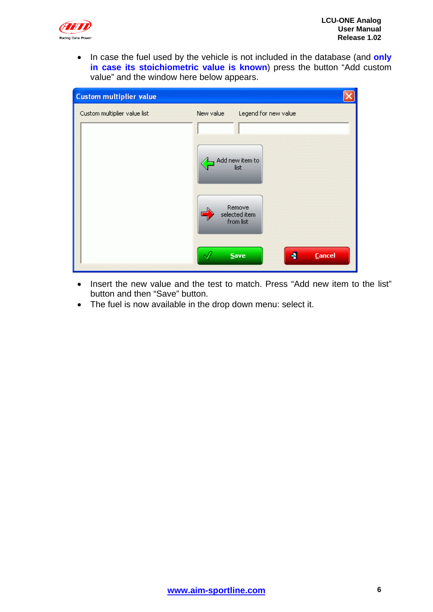

• In case the fuel used by the vehicle is not included in the database (and **only in case its stoichiometric value is known**) press the button "Add custom value" and the window here below appears.

| <b>Custom multiplier value</b> |           |                                                                                         |   |               |
|--------------------------------|-----------|-----------------------------------------------------------------------------------------|---|---------------|
| Custom multiplier value list   | New value | Legend for new value<br>Add new item to<br>list<br>Remove<br>selected item<br>from list |   |               |
|                                |           | Save                                                                                    | ۰ | <b>Cancel</b> |

- Insert the new value and the test to match. Press "Add new item to the list" button and then "Save" button.
- The fuel is now available in the drop down menu: select it.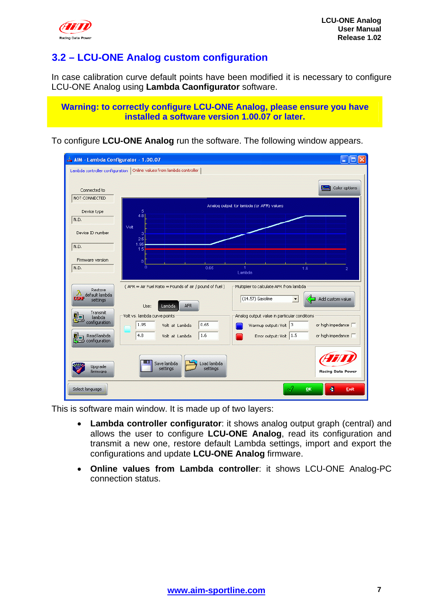<span id="page-7-0"></span>

### <sup>8</sup>**3.2 – LCU-ONE Analog custom configuration**

In case calibration curve default points have been modified it is necessary to configure LCU-ONE Analog using **Lambda Caonfigurator** software.

**Warning: to correctly configure LCU-ONE Analog, please ensure you have installed a software version 1.00.07 or later.** 

To configure **LCU-ONE Analog** run the software. The following window appears.

| ma AIM - Lambda Configurator - 1.00.07                                                                                                    |                                                                                                                                                                                                                                                                                                                                                                                                                                           |
|-------------------------------------------------------------------------------------------------------------------------------------------|-------------------------------------------------------------------------------------------------------------------------------------------------------------------------------------------------------------------------------------------------------------------------------------------------------------------------------------------------------------------------------------------------------------------------------------------|
|                                                                                                                                           | Lambda controller configuration   Online values from lambda controller                                                                                                                                                                                                                                                                                                                                                                    |
| Connected to<br>NOT CONNECTED                                                                                                             | Color options<br>ĿЯ                                                                                                                                                                                                                                                                                                                                                                                                                       |
|                                                                                                                                           | Analog output for lambda (or AFR) values                                                                                                                                                                                                                                                                                                                                                                                                  |
| Device type<br>N.D.                                                                                                                       | 5<br>4.8                                                                                                                                                                                                                                                                                                                                                                                                                                  |
|                                                                                                                                           | Volt                                                                                                                                                                                                                                                                                                                                                                                                                                      |
| Device ID number                                                                                                                          | з                                                                                                                                                                                                                                                                                                                                                                                                                                         |
| N.D.                                                                                                                                      | 2.5<br>1.95<br>1.5 <sub>1</sub>                                                                                                                                                                                                                                                                                                                                                                                                           |
| Firmware version                                                                                                                          | 0                                                                                                                                                                                                                                                                                                                                                                                                                                         |
| N.D.                                                                                                                                      | $\mathbf{0}$<br>0.65<br>1.6<br>2<br>Lambda                                                                                                                                                                                                                                                                                                                                                                                                |
| Restore<br>A default lambda<br><b>CONF</b><br>settings<br><b>Transmit</b><br>lambda<br>configuration<br>Read lambda<br>λ<br>configuration | (AFR = Air Fuel Ratio = Pounds of air / pound of fuel )<br>Multiplier to calculate AFR from lambda<br>$(14.57)$ Gasoline<br>Add custom value<br><b>AFR</b><br>Lambda<br>Use:<br>Volt vs. lambda curve points<br>Analog output value in particular conditions<br>1.95<br>0.65<br>Warmup output: Volt 3<br>or high impedance $\Box$<br>Volt at Lambda<br>4.8<br>1.6<br>Error output: Volt 1.5<br>or high impedance $\Box$<br>Volt at Lambda |
| Upgrade<br>firmware                                                                                                                       | Load lambda<br>Save lambda<br>settings<br>settings<br>Racing Data Power                                                                                                                                                                                                                                                                                                                                                                   |
| Select language                                                                                                                           | ×<br><b>OK</b><br>Exit                                                                                                                                                                                                                                                                                                                                                                                                                    |

This is software main window. It is made up of two layers:

- **Lambda controller configurator**: it shows analog output graph (central) and allows the user to configure **LCU-ONE Analog**, read its configuration and transmit a new one, restore default Lambda settings, import and export the configurations and update **LCU-ONE Analog** firmware.
- **Online values from Lambda controller**: it shows LCU-ONE Analog-PC connection status.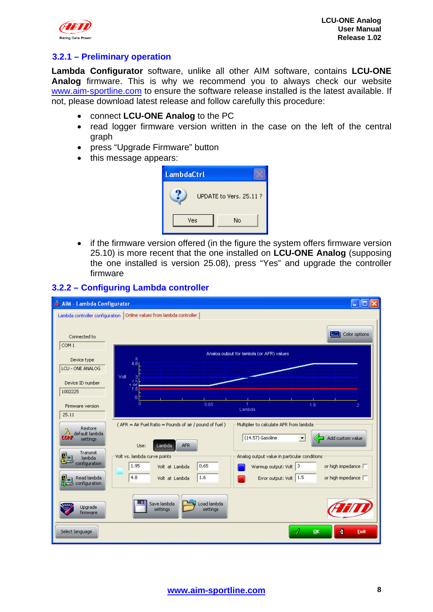<span id="page-8-0"></span>

#### 1 1**3.2.1 – Preliminary operation**

**Lambda Configurator** software, unlike all other AIM software, contains **LCU-ONE Analog** firmware. This is why we recommend you to always check our website [www.aim-sportline.com](http://www.aim-sportline.com/) to ensure the software release installed is the latest available. If not, please download latest release and follow carefully this procedure:

- connect **LCU-ONE Analog** to the PC
- read logger firmware version written in the case on the left of the central graph
- press "Upgrade Firmware" button
- this message appears:

| <b>LambdaCtrl</b> |                        |
|-------------------|------------------------|
|                   | UPDATE to Vers. 25.11? |
| Ves               | No                     |

• if the firmware version offered (in the figure the system offers firmware version 25.10) is more recent that the one installed on **LCU-ONE Analog** (supposing the one installed is version 25.08), press "Yes" and upgrade the controller firmware

#### $\Box$ ok AIM - Lambda Configurator Lambda controller configuration | Online values from lambda controller | Color options Connected to  $COM1$ Analog output for lambda (or AFR) values Device type  $4.8$ LCU - ONE ANALOG Device ID number 1002225  $n_{\rm{BS}}$ ۱Ė Firmware version l ambdal  $25.11$ (AFR = Air Fuel Ratio = Pounds of air / pound of fuel ) Multiplier to calculate AFR from lambda Restore default lambda  $(14.57)$  Gasoline  $\leftarrow$  Add custom value **CONF**  $\blacktriangledown$ settings AFR Lambda Lise: Transmit Volt vs. lambda curve points Analog output value in particular conditions 과 lambda configuration  $1.95$  $0.65$ Warmup output: Volt  $\sqrt{3}$ or high impedance [T Volt at Lambda 4.8  $\sqrt{1.6}$ Error output: Volt 1.5 Read lambda Volt at Lambda or high impedance F ₩⊐ configuration Save lambda Load lambda Upgrade settings settings firmware Select Janguage  $n**k**$ ٠ Fxil

#### <sup>9</sup>**3.2.2 – Configuring Lambda controller**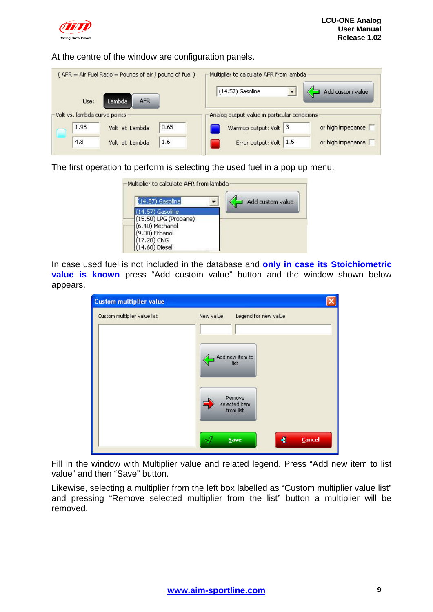

#### At the centre of the window are configuration panels.

| (AFR = Air Fuel Ratio = Pounds of air / pound of fuel) | Multiplier to calculate AFR from lambda<br>(14.57) Gasoline |
|--------------------------------------------------------|-------------------------------------------------------------|
| <b>AFR</b><br>Lambda<br>Use:                           | Add custom value                                            |
| Volt vs. lambda curve points<br>0.65<br>1.95           | Analog output value in particular conditions<br>13          |
| Volt at Lambda                                         | or high impedance  <br>Warmup output: Volt                  |
| 4,8<br>1.6<br>Volt at Lambda                           | 1.5<br>or high impedance<br>Error output: Volt              |

The first operation to perform is selecting the used fuel in a pop up menu.

In case used fuel is not included in the database and **only in case its Stoichiometric value is known** press "Add custom value" button and the window shown below appears.

| <b>Custom multiplier value</b> |                                                                                                      |  |
|--------------------------------|------------------------------------------------------------------------------------------------------|--|
| Custom multiplier value list   | New value<br>Legend for new value<br>Add new item to<br>list<br>Remove<br>selected item<br>from list |  |
|                                | <b>Cancel</b><br>۰<br>Save                                                                           |  |

Fill in the window with Multiplier value and related legend. Press "Add new item to list value" and then "Save" button.

Likewise, selecting a multiplier from the left box labelled as "Custom multiplier value list" and pressing "Remove selected multiplier from the list" button a multiplier will be removed.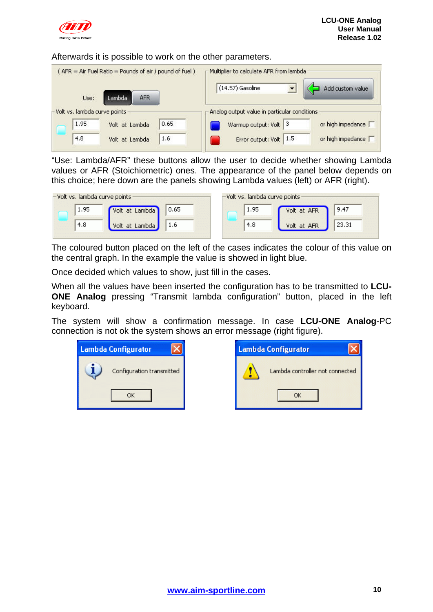

#### Afterwards it is possible to work on the other parameters.

| (AFR = Air Fuel Ratio = Pounds of air / pound of fuel)<br><b>AFR</b><br>Lambda<br>Use: | Multiplier to calculate AFR from lambda<br>$(14.57)$ Gasoline<br>Add custom value |
|----------------------------------------------------------------------------------------|-----------------------------------------------------------------------------------|
| Volt vs. lambda curve points                                                           | Analog output value in particular conditions                                      |
| 0.65                                                                                   | 3                                                                                 |
| 1.95                                                                                   | or high impedance                                                                 |
| Volt at Lambda                                                                         | Warmup output: Volt                                                               |
| 4,8                                                                                    | 1.5                                                                               |
| 1.6                                                                                    | or high impedance                                                                 |
| Volt at Lambda                                                                         | Error output: Volt                                                                |

"Use: Lambda/AFR" these buttons allow the user to decide whether showing Lambda values or AFR (Stoichiometric) ones. The appearance of the panel below depends on this choice; here down are the panels showing Lambda values (left) or AFR (right).

| Volt vs. lambda curve points |                   |      | -Volt vs. lambda curve points : |             |       |
|------------------------------|-------------------|------|---------------------------------|-------------|-------|
| 1.95                         | /olt at Lambda.   | 0.65 | 1.95                            | Volt at AFR | 9.47  |
| 4.8                          | at Lambda<br>volt |      | 4.8                             | Volt at AFR | 23.31 |

The coloured button placed on the left of the cases indicates the colour of this value on the central graph. In the example the value is showed in light blue.

Once decided which values to show, just fill in the cases.

When all the values have been inserted the configuration has to be transmitted to **LCU-ONE Analog** pressing "Transmit lambda configuration" button, placed in the left keyboard.

The system will show a confirmation message. In case **LCU-ONE Analog**-PC connection is not ok the system shows an error message (right figure).

| <b>Lambda Configurator</b> |                           |  |  |
|----------------------------|---------------------------|--|--|
|                            | Configuration transmitted |  |  |
|                            | ΟK                        |  |  |

| <b>Lambda Configurator</b> |                                 |  |
|----------------------------|---------------------------------|--|
|                            | Lambda controller not connected |  |
|                            |                                 |  |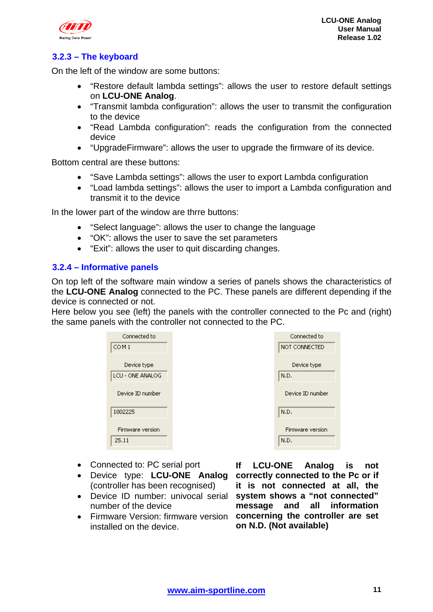<span id="page-11-0"></span>

### 1 2**3.2.3 – The keyboard**

On the left of the window are some buttons:

- "Restore default lambda settings": allows the user to restore default settings on **LCU-ONE Analog**.
- "Transmit lambda configuration": allows the user to transmit the configuration to the device
- "Read Lambda configuration": reads the configuration from the connected device
- "UpgradeFirmware": allows the user to upgrade the firmware of its device.

Bottom central are these buttons:

- "Save Lambda settings": allows the user to export Lambda configuration
- "Load lambda settings": allows the user to import a Lambda configuration and transmit it to the device

In the lower part of the window are thrre buttons:

- "Select language": allows the user to change the language
- "OK": allows the user to save the set parameters
- "Exit": allows the user to quit discarding changes.

#### 1 0**3.2.4 – Informative panels**

On top left of the software main window a series of panels shows the characteristics of the **LCU-ONE Analog** connected to the PC. These panels are different depending if the device is connected or not.

Here below you see (left) the panels with the controller connected to the Pc and (right) the same panels with the controller not connected to the PC.

| Connected to              | Connected to             |
|---------------------------|--------------------------|
| COM <sub>1</sub>          | NOT CONNECTED            |
| Device type               | Device type              |
| LCU - ONE ANALOG          | N.D.                     |
| Device ID number          | Device ID number         |
| 1002225                   | N.D.                     |
| Firmware version<br>25.11 | Firmware version<br>N.D. |

- Connected to: PC serial port
- Device type: **LCU-ONE Analog** (controller has been recognised)
- Device ID number: univocal serial number of the device
- Firmware Version: firmware version **concerning the controller are set**  installed on the device.

**If LCU-ONE Analog is not correctly connected to the Pc or if it is not connected at all, the system shows a "not connected" message and all information on N.D. (Not available)**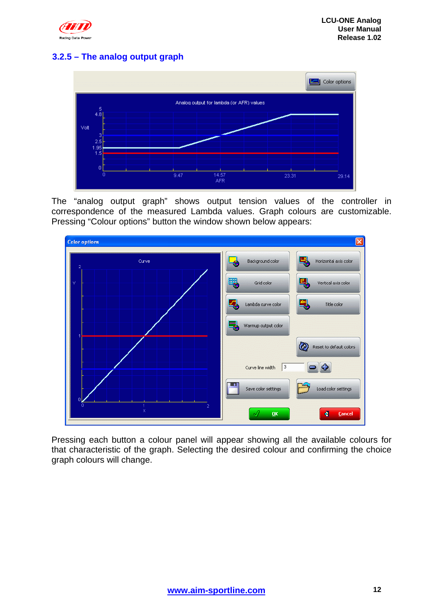<span id="page-12-0"></span>

#### 1 3**3.2.5 – The analog output graph**



The "analog output graph" shows output tension values of the controller in correspondence of the measured Lambda values. Graph colours are customizable. Pressing "Colour options" button the window shown below appears:



Pressing each button a colour panel will appear showing all the available colours for that characteristic of the graph. Selecting the desired colour and confirming the choice graph colours will change.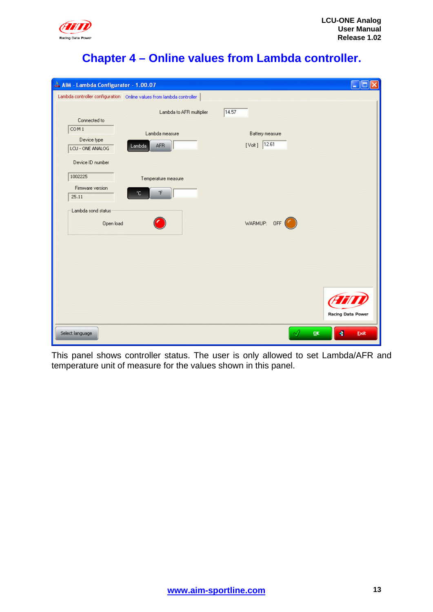<span id="page-13-0"></span>

### <sup>3</sup>**Chapter 4 – Online values from Lambda controller.**

| M AIM - Lambda Configurator - 1.00.07                                   |                                                                        | - 10                               |  |
|-------------------------------------------------------------------------|------------------------------------------------------------------------|------------------------------------|--|
|                                                                         | Lambda controller configuration   Online values from lambda controller |                                    |  |
| Connected to                                                            | Lambda to AFR multiplier                                               | 14.57                              |  |
| COM <sub>1</sub><br>Device type<br>LCU - ONE ANALOG<br>Device ID number | Lambda measure<br><b>AFR</b><br>Lambda                                 | Battery measure<br>$[Vol]$ $12.61$ |  |
| 1002225<br>Firmware version<br>25.11                                    | Temperature measure<br>$\,{}^*\!F$<br>°C.                              |                                    |  |
| Lambda sond status<br>Open load                                         |                                                                        | WARMUP: OFF                        |  |
|                                                                         |                                                                        |                                    |  |
|                                                                         |                                                                        | Racing Data Power                  |  |
| Select language                                                         |                                                                        | $\blacktriangleleft$<br>QK<br>Exit |  |

This panel shows controller status. The user is only allowed to set Lambda/AFR and temperature unit of measure for the values shown in this panel.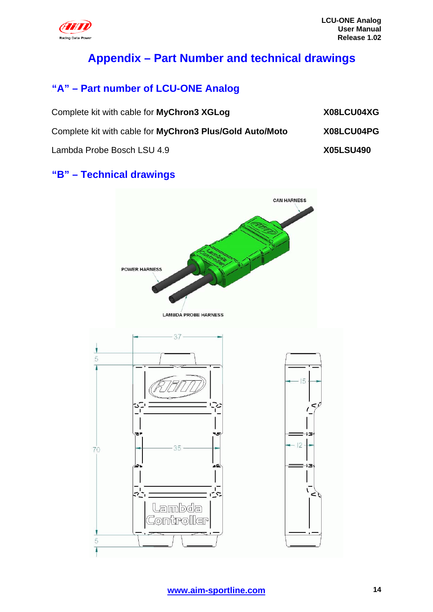<span id="page-14-0"></span>

## <sup>4</sup>**Appendix – Part Number and technical drawings**

## <sup>6</sup>**"A" – Part number of LCU-ONE Analog**

| Complete kit with cable for MyChron3 XGLog               | X08LCU04XG       |
|----------------------------------------------------------|------------------|
| Complete kit with cable for MyChron3 Plus/Gold Auto/Moto | X08LCU04PG       |
| Lambda Probe Bosch LSU 4.9                               | <b>X05LSU490</b> |

### <sup>7</sup>**"B" – Technical drawings**